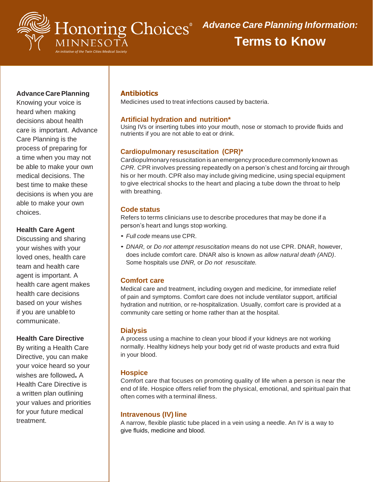

**Terms to Know**

# **Advance CarePlanning**

Knowing your voice is heard when making decisions about health care is important. Advance Care Planning is the process of preparing for a time when you may not be able to make your own medical decisions. The best time to make these decisions is when you are able to make your own choices.

## **Health Care Agent**

Discussing and sharing your wishes with your loved ones, health care team and health care agent is important. A health care agent makes health care decisions based on your wishes if you are unableto communicate.

#### **Health Care Directive**

By writing a Health Care Directive, you can make your voice heard so your wishes are followed**.** A Health Care Directive is a written plan outlining your values and priorities for your future medical treatment.

# **Antibiotics**

Medicines used to treat infections caused by bacteria.

## **Artificial hydration and nutrition\***

Using IVs or inserting tubes into your mouth, nose or stomach to provide fluids and nutrients if you are not able to eat or drink.

## **Cardiopulmonary resuscitation (CPR)\***

Cardiopulmonary resuscitation is an emergency procedure commonly known as *CPR.* CPR involves pressing repeatedly on a person's chest and forcing air through his or her mouth. CPR also may include giving medicine, using special equipment to give electrical shocks to the heart and placing a tube down the throat to help with breathing.

## **Code status**

Refers to terms clinicians use to describe procedures that may be done if a person's heart and lungs stop working.

- *• Full code* means use CPR.
- *• DNAR,* or *Do not attempt resuscitation* means do not use CPR. DNAR, however, does include comfort care. DNAR also is known as *allow natural death (AND)*. Some hospitals use *DNR,* or *Do not resuscitate.*

#### **Comfort care**

Medical care and treatment, including oxygen and medicine, for immediate relief of pain and symptoms. Comfort care does not include ventilator support, artificial hydration and nutrition, or re-hospitalization. Usually, comfort care is provided at a community care setting or home rather than at the hospital.

#### **Dialysis**

A process using a machine to clean your blood if your kidneys are not working normally. Healthy kidneys help your body get rid of waste products and extra fluid in your blood.

#### **Hospice**

Comfort care that focuses on promoting quality of life when a person is near the end of life. Hospice offers relief from the physical, emotional, and spiritual pain that often comes with a terminal illness.

#### **Intravenous (IV) line**

A narrow, flexible plastic tube placed in a vein using a needle. An IV is a way to give fluids, medicine and blood.